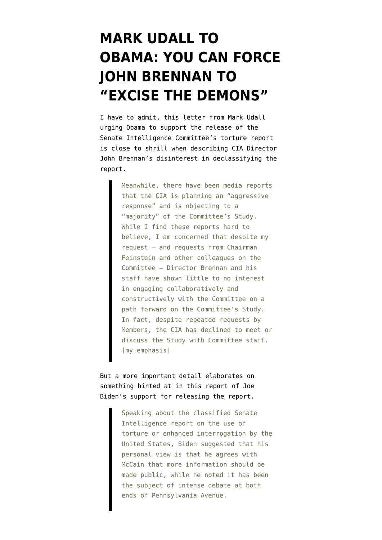## **[MARK UDALL TO](https://www.emptywheel.net/2013/05/01/mark-udall-to-obama-you-can-force-john-brennan-to-excise-the-demons/) [OBAMA: YOU CAN FORCE](https://www.emptywheel.net/2013/05/01/mark-udall-to-obama-you-can-force-john-brennan-to-excise-the-demons/) [JOHN BRENNAN TO](https://www.emptywheel.net/2013/05/01/mark-udall-to-obama-you-can-force-john-brennan-to-excise-the-demons/) ["EXCISE THE DEMONS"](https://www.emptywheel.net/2013/05/01/mark-udall-to-obama-you-can-force-john-brennan-to-excise-the-demons/)**

I have to admit, this [letter](http://www.markudall.senate.gov/?p=press_release&id=3382) from Mark Udall urging Obama to support the release of the Senate Intelligence Committee's torture report is close to shrill when describing CIA Director John Brennan's disinterest in declassifying the report.

> Meanwhile, there have been media reports that the CIA is planning an "aggressive response" and is objecting to a "majority" of the Committee's Study. While I find these reports hard to believe, I am concerned that despite my request — and requests from Chairman Feinstein and other colleagues on the Committee — Director Brennan and his staff have shown little to no interest in engaging collaboratively and constructively with the Committee on a path forward on the Committee's Study. In fact, despite repeated requests by Members, the CIA has declined to meet or discuss the Study with Committee staff. [my emphasis]

But a more important detail elaborates on something hinted at in [this report](http://www.rollcall.com/news/biden_backs_public_disclosure_of_torture_report-224389-1.html) of Joe Biden's support for releasing the report.

> Speaking about the classified Senate Intelligence report on the use of torture or enhanced interrogation by the United States, Biden suggested that his personal view is that he agrees with McCain that more information should be made public, while he noted it has been the subject of intense debate at both ends of Pennsylvania Avenue.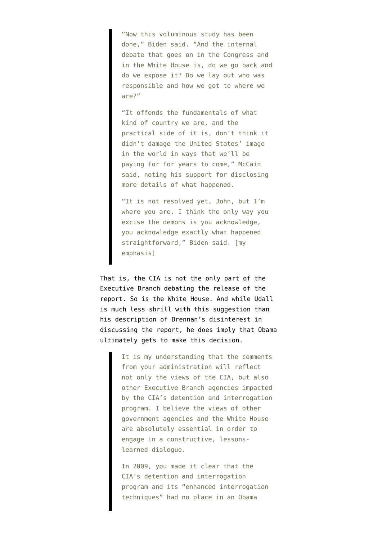"Now this voluminous study has been done," Biden said. "And the internal debate that goes on in the Congress and in the White House is, do we go back and do we expose it? Do we lay out who was responsible and how we got to where we are?"

"It offends the fundamentals of what kind of country we are, and the practical side of it is, don't think it didn't damage the United States' image in the world in ways that we'll be paying for for years to come," McCain said, noting his support for disclosing more details of what happened.

"It is not resolved yet, John, but I'm where you are. I think the only way you excise the demons is you acknowledge, you acknowledge exactly what happened straightforward," Biden said. Imv emphasis]

That is, the CIA is not the only part of the Executive Branch debating the release of the report. So is the White House. And while Udall is much less shrill with this suggestion than his description of Brennan's disinterest in discussing the report, he does imply that Obama ultimately gets to make this decision.

> It is my understanding that the comments from your administration will reflect not only the views of the CIA, but also other Executive Branch agencies impacted by the CIA's detention and interrogation program. I believe the views of other government agencies and the White House are absolutely essential in order to engage in a constructive, lessonslearned dialogue.

In 2009, you made it clear that the CIA's detention and interrogation program and its "enhanced interrogation techniques" had no place in an Obama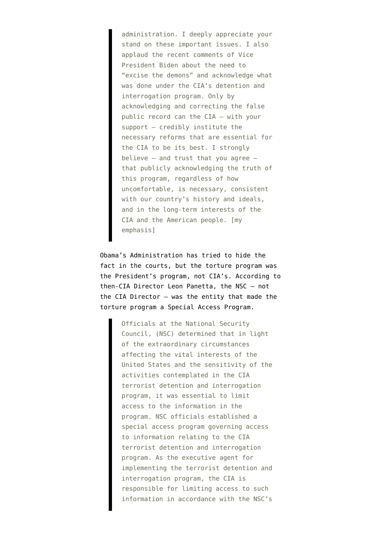administration. I deeply appreciate your stand on these important issues. I also applaud the recent comments of Vice President Biden about the need to "excise the demons" and acknowledge what was done under the CIA's detention and interrogation program. Only by acknowledging and correcting the false public record can the CIA — with your support — credibly institute the necessary reforms that are essential for the CIA to be its best. I strongly believe — and trust that you agree that publicly acknowledging the truth of this program, regardless of how uncomfortable, is necessary, consistent with our country's history and ideals, and in the long-term interests of the CIA and the American people. [my emphasis]

Obama's Administration [has tried to hide the](http://www.emptywheel.net/2012/04/20/the-cias-nscs-presidents-torture-program/) [fact](http://www.emptywheel.net/2012/04/20/the-cias-nscs-presidents-torture-program/) in the courts, but the torture program was the President's program, not CIA's. [According to](http://www.emptywheel.net/wp-content/uploads/2012/04/090608-Panetta-Declaration.pdf) [then-CIA Director Leon Panetta,](http://www.emptywheel.net/wp-content/uploads/2012/04/090608-Panetta-Declaration.pdf) the NSC — not the CIA Director — was the entity that made the torture program a Special Access Program.

> Officials at the National Security Council, (NSC) determined that in light of the extraordinary circumstances affecting the vital interests of the United States and the sensitivity of the activities contemplated in the CIA terrorist detention and interrogation program, it was essential to limit access to the information in the program. NSC officials established a special access program governing access to information relating to the CIA terrorist detention and interrogation program. As the executive agent for implementing the terrorist detention and interrogation program, the CIA is responsible for limiting access to such information in accordance with the NSC's